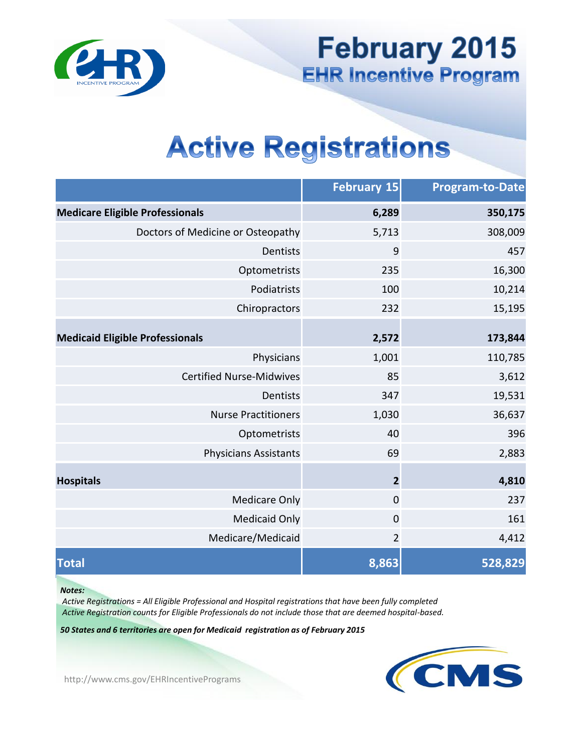

**February 2015**  EHR Incentive Program

# Active Registrations

|                                        | <b>February 15</b>      | <b>Program-to-Date</b> |
|----------------------------------------|-------------------------|------------------------|
| <b>Medicare Eligible Professionals</b> | 6,289                   | 350,175                |
| Doctors of Medicine or Osteopathy      | 5,713                   | 308,009                |
| Dentists                               | 9                       | 457                    |
| Optometrists                           | 235                     | 16,300                 |
| Podiatrists                            | 100                     | 10,214                 |
| Chiropractors                          | 232                     | 15,195                 |
| <b>Medicaid Eligible Professionals</b> | 2,572                   | 173,844                |
| Physicians                             | 1,001                   | 110,785                |
| <b>Certified Nurse-Midwives</b>        | 85                      | 3,612                  |
| Dentists                               | 347                     | 19,531                 |
| <b>Nurse Practitioners</b>             | 1,030                   | 36,637                 |
| Optometrists                           | 40                      | 396                    |
| <b>Physicians Assistants</b>           | 69                      | 2,883                  |
| <b>Hospitals</b>                       | $\overline{\mathbf{c}}$ | 4,810                  |
| <b>Medicare Only</b>                   | $\boldsymbol{0}$        | 237                    |
| <b>Medicaid Only</b>                   | $\boldsymbol{0}$        | 161                    |
| Medicare/Medicaid                      | $\overline{2}$          | 4,412                  |
| <b>Total</b>                           | 8,863                   | 528,829                |

#### Ì *Notes:*

 *Active Registration counts for Eligible Professionals do not include those that are deemed hospital-based. Active Registrations = All Eligible Professional and Hospital registrations that have been fully completed* 

 *50 States and 6 territories are open for Medicaid registration as of February 2015* 



<http://www.cms.gov/EHRIncentivePrograms>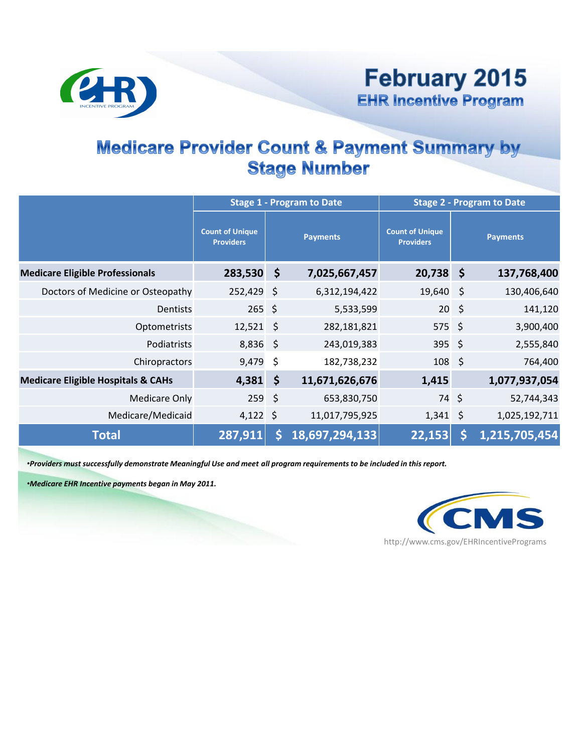

#### Medicare Provider Count & Payment Summary by Stage Number

|                                               |                                            |              | <b>Stage 1 - Program to Date</b> | <b>Stage 2 - Program to Date</b>           |                 |               |  |  |  |
|-----------------------------------------------|--------------------------------------------|--------------|----------------------------------|--------------------------------------------|-----------------|---------------|--|--|--|
|                                               | <b>Count of Unique</b><br><b>Providers</b> |              | <b>Payments</b>                  | <b>Count of Unique</b><br><b>Providers</b> | <b>Payments</b> |               |  |  |  |
| <b>Medicare Eligible Professionals</b>        | 283,530 \$                                 |              | 7,025,667,457                    | $20,738$ \$                                |                 | 137,768,400   |  |  |  |
| Doctors of Medicine or Osteopathy             | 252,429                                    | $\zeta$      | 6,312,194,422                    | 19,640 \$                                  |                 | 130,406,640   |  |  |  |
| <b>Dentists</b>                               | 265                                        | $\zeta$      | 5,533,599                        | $20 \div$                                  |                 | 141,120       |  |  |  |
| Optometrists                                  | $12,521$ \$                                |              | 282,181,821                      | $575$ \$                                   |                 | 3,900,400     |  |  |  |
| Podiatrists                                   | $8,836$ \$                                 |              | 243,019,383                      | 395 \$                                     |                 | 2,555,840     |  |  |  |
| Chiropractors                                 | 9,479                                      | $\zeta$      | 182,738,232                      | $108 \; \simeq$                            |                 | 764,400       |  |  |  |
| <b>Medicare Eligible Hospitals &amp; CAHs</b> | 4,381                                      | $\mathsf{S}$ | 11,671,626,676                   | 1,415                                      |                 | 1,077,937,054 |  |  |  |
| <b>Medicare Only</b>                          | $259$ \$                                   |              | 653,830,750                      | 74 \$                                      |                 | 52,744,343    |  |  |  |
| Medicare/Medicaid                             | $4,122$ \$                                 |              | 11,017,795,925                   | $1,341$ \$                                 |                 | 1,025,192,711 |  |  |  |
| <b>Total</b>                                  | 287,911                                    |              | 18,697,294,133                   | 22,153                                     |                 | 1,215,705,454 |  |  |  |

 •*Providers must successfully demonstrate Meaningful Use and meet all program requirements to be included in this report.* 

 •*Medicare EHR Incentive payments began in May 2011.* 

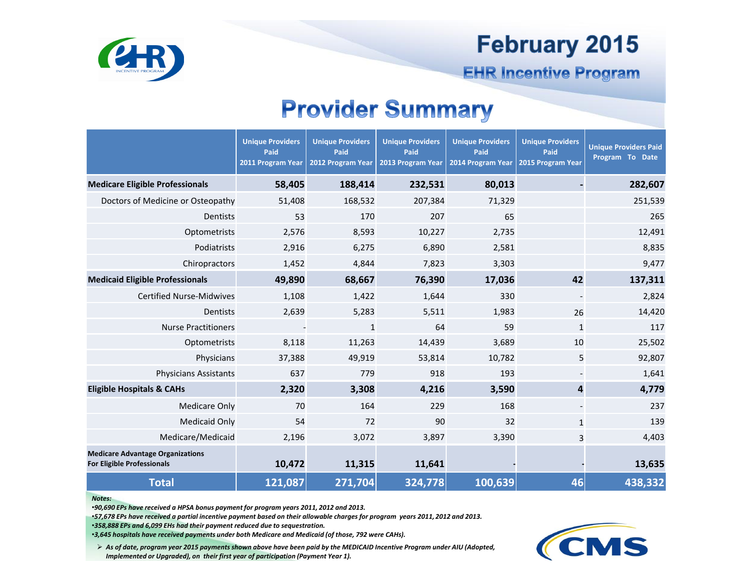### **February 2015**



**EHR Incentive Program** 

#### Provider Summary

|                                                                              | <b>Unique Providers</b><br>Paid<br>2011 Program Year | <b>Unique Providers</b><br>Paid<br>2012 Program Year | <b>Unique Providers</b><br>Paid<br>2013 Program Year | <b>Unique Providers</b><br>Paid<br>2014 Program Year | <b>Unique Providers</b><br>Paid<br>2015 Program Year | <b>Unique Providers Paid</b><br>Program To Date |
|------------------------------------------------------------------------------|------------------------------------------------------|------------------------------------------------------|------------------------------------------------------|------------------------------------------------------|------------------------------------------------------|-------------------------------------------------|
| <b>Medicare Eligible Professionals</b>                                       | 58,405                                               | 188,414                                              | 232,531                                              | 80,013                                               |                                                      | 282,607                                         |
| Doctors of Medicine or Osteopathy                                            | 51,408                                               | 168,532                                              | 207,384                                              | 71,329                                               |                                                      | 251,539                                         |
| <b>Dentists</b>                                                              | 53                                                   | 170                                                  | 207                                                  | 65                                                   |                                                      | 265                                             |
| Optometrists                                                                 | 2,576                                                | 8,593                                                | 10,227                                               | 2,735                                                |                                                      | 12,491                                          |
| Podiatrists                                                                  | 2,916                                                | 6,275                                                | 6,890                                                | 2,581                                                |                                                      | 8,835                                           |
| Chiropractors                                                                | 1,452                                                | 4,844                                                | 7,823                                                | 3,303                                                |                                                      | 9,477                                           |
| <b>Medicaid Eligible Professionals</b>                                       | 49,890                                               | 68,667                                               | 76,390                                               | 17,036                                               | 42                                                   | 137,311                                         |
| <b>Certified Nurse-Midwives</b>                                              | 1,108                                                | 1,422                                                | 1,644                                                | 330                                                  |                                                      | 2,824                                           |
| Dentists                                                                     | 2,639                                                | 5,283                                                | 5,511                                                | 1,983                                                | 26                                                   | 14,420                                          |
| <b>Nurse Practitioners</b>                                                   |                                                      | $\mathbf{1}$                                         | 64                                                   | 59                                                   | $\mathbf{1}$                                         | 117                                             |
| Optometrists                                                                 | 8,118                                                | 11,263                                               | 14,439                                               | 3,689                                                | 10                                                   | 25,502                                          |
| Physicians                                                                   | 37,388                                               | 49,919                                               | 53,814                                               | 10,782                                               | 5                                                    | 92,807                                          |
| <b>Physicians Assistants</b>                                                 | 637                                                  | 779                                                  | 918                                                  | 193                                                  |                                                      | 1,641                                           |
| <b>Eligible Hospitals &amp; CAHs</b>                                         | 2,320                                                | 3,308                                                | 4,216                                                | 3,590                                                | 4                                                    | 4,779                                           |
| <b>Medicare Only</b>                                                         | 70                                                   | 164                                                  | 229                                                  | 168                                                  | $\overline{\phantom{a}}$                             | 237                                             |
| <b>Medicaid Only</b>                                                         | 54                                                   | 72                                                   | 90                                                   | 32                                                   | $\mathbf{1}$                                         | 139                                             |
| Medicare/Medicaid                                                            | 2,196                                                | 3,072                                                | 3,897                                                | 3,390                                                | 3                                                    | 4,403                                           |
| <b>Medicare Advantage Organizations</b><br><b>For Eligible Professionals</b> | 10,472                                               | 11,315                                               | 11,641                                               |                                                      |                                                      | 13,635                                          |
| <b>Total</b>                                                                 | 121,087                                              | 271,704                                              | 324,778                                              | 100,639                                              | 46                                                   | 438,332                                         |

#### *Notes:*

 •*90,690 EPs have received a HPSA bonus payment for program years 2011, 2012 and 2013.* 

 •*57,678 EPs have received a partial incentive payment based on their allowable charges for program years 2011, 2012 and 2013.* 

 •*358,888 EPs and 6,099 EHs had their payment reduced due to sequestration.* 

 •*3,645 hospitals have received payments under both Medicare and Medicaid (of those, 792 were CAHs).* 

 *As of date, program year 2015 payments shown above have been paid by the MEDICAID Incentive Program under AIU (Adopted, Implemented or Upgraded), on their first year of participation (Payment Year 1).* 

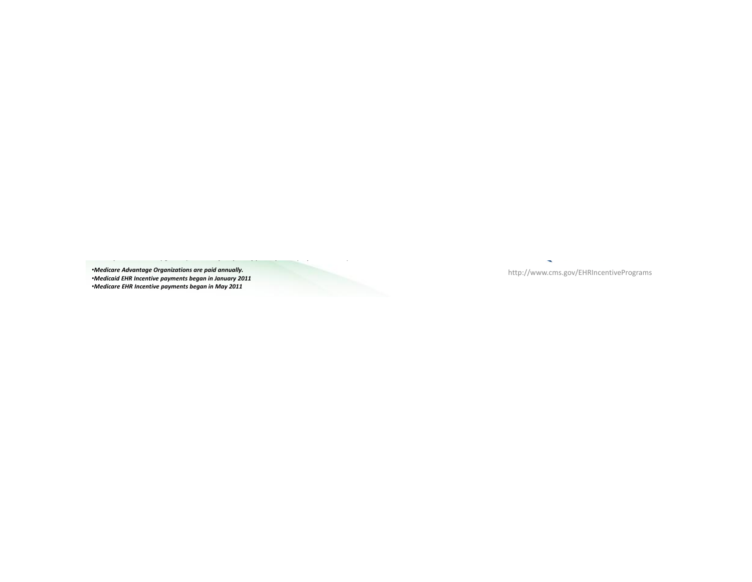*Medicare Advantage Organizations are paid annually.* •*Medicare Advantage Organizations are paid annually.* http://www.cms.gov/EHRIncentivePrograms •*Medicaid EHR Incentive payments began in January 2011* 

*Implemented or Upgraded), on their first year of participation (Payment Year 1).*

•*Medicare EHR Incentive payments began in May 2011* 

 $\overline{\phantom{a}}$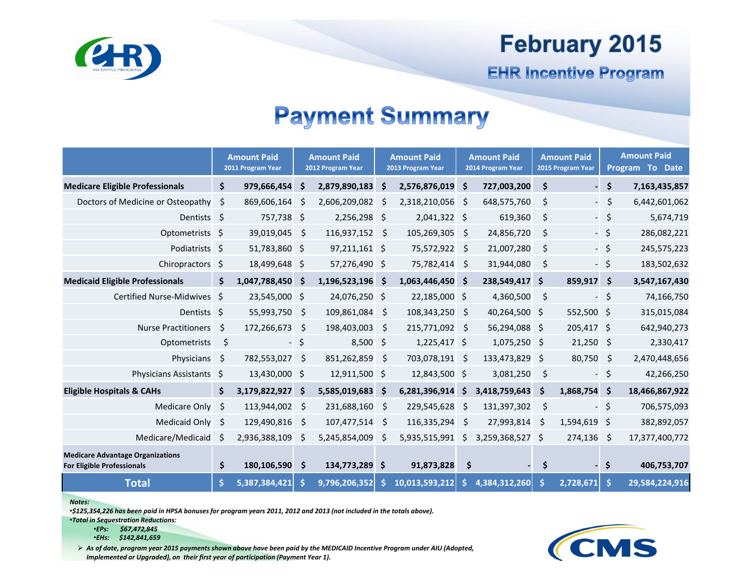

## **February 2015**

**EHR Incentive Program** 

### Payment Summary

|                                                                              |    | <b>Amount Paid</b><br>2011 Program Year | <b>Amount Paid</b><br>2012 Program Year |                | <b>Amount Paid</b><br>2013 Program Year |                | <b>Amount Paid</b><br>2014 Program Year |               | <b>Amount Paid</b><br>2015 Program Year |                          | <b>Amount Paid</b><br>Program To Date |                |
|------------------------------------------------------------------------------|----|-----------------------------------------|-----------------------------------------|----------------|-----------------------------------------|----------------|-----------------------------------------|---------------|-----------------------------------------|--------------------------|---------------------------------------|----------------|
| <b>Medicare Eligible Professionals</b>                                       | \$ | 979,666,454 \$                          |                                         | 2,879,890,183  | \$                                      | 2,576,876,019  | \$.                                     | 727,003,200   | \$                                      |                          | \$                                    | 7,163,435,857  |
| Doctors of Medicine or Osteopathy                                            | \$ | 869,606,164                             | -Ś                                      | 2,606,209,082  | $\zeta$                                 | 2,318,210,056  | \$                                      | 648,575,760   | \$                                      | $\overline{\phantom{a}}$ | $\zeta$                               | 6,442,601,062  |
| Dentists \$                                                                  |    | 757,738 \$                              |                                         | 2,256,298 \$   |                                         | 2,041,322 \$   |                                         | 619,360       | \$                                      |                          | $-$ \$                                | 5,674,719      |
| Optometrists \$                                                              |    | 39,019,045                              | \$                                      | 116,937,152    | \$                                      | 105,269,305    | $\zeta$                                 | 24,856,720    | \$                                      |                          | $-$ \$                                | 286,082,221    |
| Podiatrists \$                                                               |    | 51,783,860 \$                           |                                         | 97,211,161 \$  |                                         | 75,572,922     | \$                                      | 21,007,280    | \$                                      |                          | $-$ \$                                | 245,575,223    |
| Chiropractors \$                                                             |    | 18,499,648 \$                           |                                         | 57,276,490 \$  |                                         | 75,782,414     | - \$                                    | 31,944,080    | \$                                      | $\overline{\phantom{a}}$ | $\ddot{\mathsf{S}}$                   | 183,502,632    |
| <b>Medicaid Eligible Professionals</b>                                       | \$ | 1,047,788,450 \$                        |                                         | 1,196,523,196  | \$                                      | 1,063,446,450  | \$                                      | 238,549,417   | \$                                      | 859,917                  | $\ddot{\mathsf{s}}$                   | 3,547,167,430  |
| Certified Nurse-Midwives \$                                                  |    | 23,545,000 \$                           |                                         | 24,076,250 \$  |                                         | 22,185,000 \$  |                                         | 4,360,500     | \$                                      | $\overline{\phantom{a}}$ | \$                                    | 74,166,750     |
| Dentists \$                                                                  |    | 55,993,750                              | \$                                      | 109,861,084    | \$                                      | 108,343,250    | $\zeta$                                 | 40,264,500    | \$                                      | 552,500 \$               |                                       | 315,015,084    |
| <b>Nurse Practitioners</b>                                                   | \$ | 172,266,673                             | $\zeta$                                 | 198,403,003    | \$                                      | 215,771,092    | $\zeta$                                 | 56,294,088 \$ |                                         | 205,417 \$               |                                       | 642,940,273    |
| Optometrists                                                                 | \$ | - 1                                     | $\zeta$                                 | 8,500          | \$                                      | $1,225,417$ \$ |                                         | 1,075,250     | -\$                                     | $21,250$ \$              |                                       | 2,330,417      |
| Physicians                                                                   | \$ | 782,553,027                             | \$                                      | 851,262,859    | \$                                      | 703,078,191    | \$                                      | 133,473,829   | \$                                      | 80,750                   | \$                                    | 2,470,448,656  |
| Physicians Assistants \$                                                     |    | 13,430,000 \$                           |                                         | 12,911,500 \$  |                                         | 12,843,500 \$  |                                         | 3,081,250     | \$                                      | $\blacksquare$           | \$                                    | 42,266,250     |
| <b>Eligible Hospitals &amp; CAHs</b>                                         | \$ | 3,179,822,927                           | -\$                                     | 5,585,019,683  | \$                                      | 6,281,396,914  | \$                                      | 3,418,759,643 | \$                                      | 1,868,754                | 'S                                    | 18,466,867,922 |
| Medicare Only                                                                | \$ | 113,944,002                             | -\$                                     | 231,688,160    | \$                                      | 229,545,628    | $\ddot{\mathsf{S}}$                     | 131,397,302   | \$                                      | $\overline{\phantom{a}}$ | \$                                    | 706,575,093    |
| <b>Medicaid Only</b>                                                         | \$ | 129,490,816                             | \$                                      | 107,477,514    | \$                                      | 116,335,294    | \$                                      | 27,993,814    | \$                                      | 1,594,619                | \$                                    | 382,892,057    |
| Medicare/Medicaid                                                            | S  | 2,936,388,109                           | Ŝ                                       | 5,245,854,009  | \$                                      | 5,935,515,991  | Ś                                       | 3,259,368,527 | \$                                      | 274,136                  | \$                                    | 17,377,400,772 |
| <b>Medicare Advantage Organizations</b><br><b>For Eligible Professionals</b> | \$ | 180,106,590                             | Ŝ.                                      | 134,773,289 \$ |                                         | 91,873,828     | \$                                      |               | \$                                      |                          | \$                                    | 406,753,707    |
| <b>Total</b>                                                                 | \$ | 5,387,384,421                           |                                         | 9,796,206,352  | S                                       | 10,013,593,212 |                                         | 4,384,312,260 | Ŝ                                       | 2,728,671                | Ŝ.                                    | 29,584,224,916 |

 *Notes:* 

 •*\$125,354,226 has been paid in HPSA bonuses for program years 2011, 2012 and 2013 (not included in the totals above).* 

 •*Total in Sequestration Reductions:* 

 •*EPs: \$67,472,845*  •*EHs: \$142,841,659* 

 *As of date, program year 2015 payments shown above have been paid by the MEDICAID Incentive Program under AIU (Adopted, Implemented or Upgraded), on their first year of participation (Payment Year 1).*